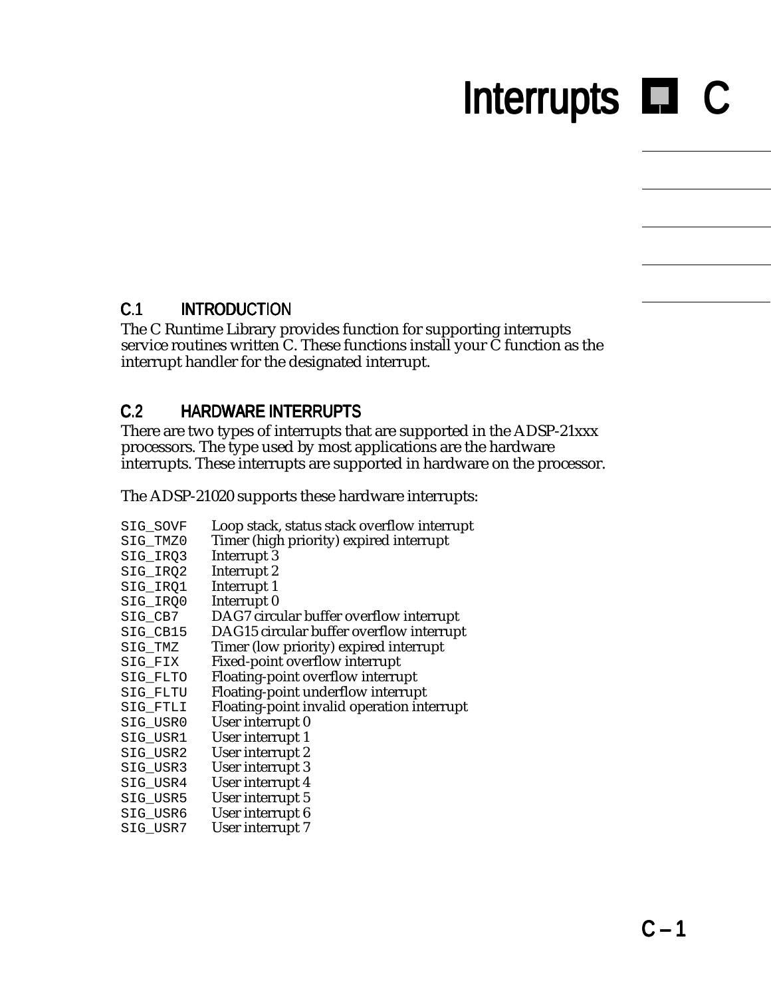# Interrupts **Interrupts** C

#### C.1 INTRODUCTION

The C Runtime Library provides function for supporting interrupts service routines written C. These functions install your  $\breve{C}$  function as the interrupt handler for the designated interrupt.

#### C.2 HARDWARE INTERRUPTS

There are two types of interrupts that are supported in the ADSP-21xxx processors. The type used by most applications are the hardware interrupts. These interrupts are supported in hardware on the processor.

The ADSP-21020 supports these hardware interrupts:

| SIG_SOVF | Loop stack, status stack overflow interrupt |
|----------|---------------------------------------------|
| SIG_TMZ0 | Timer (high priority) expired interrupt     |
| SIG_IRQ3 | Interrupt 3                                 |
| SIG_IRQ2 | Interrupt 2                                 |
| SIG_IRQ1 | Interrupt 1                                 |
| SIG_IRQ0 | Interrupt <sub>0</sub>                      |
| SIG_CB7  | DAG7 circular buffer overflow interrupt     |
| SIG_CB15 | DAG15 circular buffer overflow interrupt    |
| SIG_TMZ  | Timer (low priority) expired interrupt      |
| SIG_FIX  | Fixed-point overflow interrupt              |
| SIG_FLTO | Floating-point overflow interrupt           |
| SIG FLTU | Floating-point underflow interrupt          |
| SIG FTLI | Floating-point invalid operation interrupt  |
| SIG_USR0 | User interrupt 0                            |
| SIG_USR1 | User interrupt 1                            |
| SIG_USR2 | User interrupt 2                            |
| SIG_USR3 | User interrupt 3                            |
| SIG_USR4 | User interrupt 4                            |
| SIG_USR5 | User interrupt 5                            |
| SIG_USR6 | User interrupt 6                            |
| SIG USR7 | User interrupt 7                            |
|          |                                             |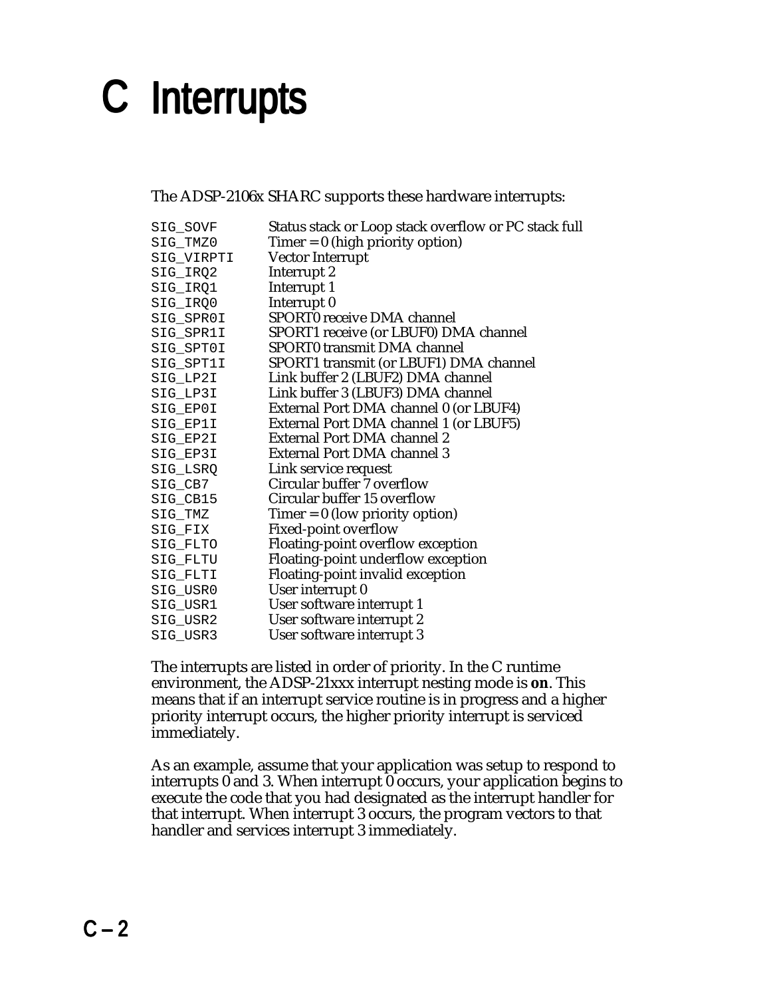The ADSP-2106x SHARC supports these hardware interrupts:

| SIG_SOVF   | Status stack or Loop stack overflow or PC stack full |
|------------|------------------------------------------------------|
| SIG_TMZ0   | $Timer = 0$ (high priority option)                   |
| SIG_VIRPTI | Vector Interrupt                                     |
| SIG_IRQ2   | Interrupt 2                                          |
| SIG_IRQ1   | Interrupt 1                                          |
| SIG_IRQ0   | Interrupt <sub>0</sub>                               |
| SIG_SPR0I  | SPORT0 receive DMA channel                           |
| SIG_SPR1I  | SPORT1 receive (or LBUF0) DMA channel                |
| SIG_SPT0I  | <b>SPORT0</b> transmit DMA channel                   |
| SIG_SPT1I  | SPORT1 transmit (or LBUF1) DMA channel               |
| SIG LP2I   | Link buffer 2 (LBUF2) DMA channel                    |
| SIG_LP3I   | Link buffer 3 (LBUF3) DMA channel                    |
| SIG EPOI   | External Port DMA channel 0 (or LBUF4)               |
| SIG_EP1I   | External Port DMA channel 1 (or LBUF5)               |
| SIG_EP2I   | External Port DMA channel 2                          |
| SIG_EP3I   | External Port DMA channel 3                          |
| SIG_LSRQ   | Link service request                                 |
| SIG_CB7    | Circular buffer 7 overflow                           |
| SIG_CB15   | Circular buffer 15 overflow                          |
| SIG_TMZ    | $Timer = 0$ (low priority option)                    |
| SIG_FIX    | <b>Fixed-point overflow</b>                          |
| SIG FLTO   | Floating-point overflow exception                    |
| SIG_FLTU   | Floating-point underflow exception                   |
| SIG_FLTI   | Floating-point invalid exception                     |
| SIG_USR0   | User interrupt 0                                     |
| SIG_USR1   | User software interrupt 1                            |
| SIG_USR2   | User software interrupt 2                            |
| SIG USR3   | User software interrupt 3                            |
|            |                                                      |

The interrupts are listed in order of priority. In the C runtime environment, the ADSP-21xxx interrupt nesting mode is **on**. This means that if an interrupt service routine is in progress and a higher priority interrupt occurs, the higher priority interrupt is serviced immediately.

As an example, assume that your application was setup to respond to interrupts  $\vec{0}$  and 3. When interrupt  $\vec{0}$  occurs, your application begins to execute the code that you had designated as the interrupt handler for that interrupt. When interrupt 3 occurs, the program vectors to that handler and services interrupt 3 immediately.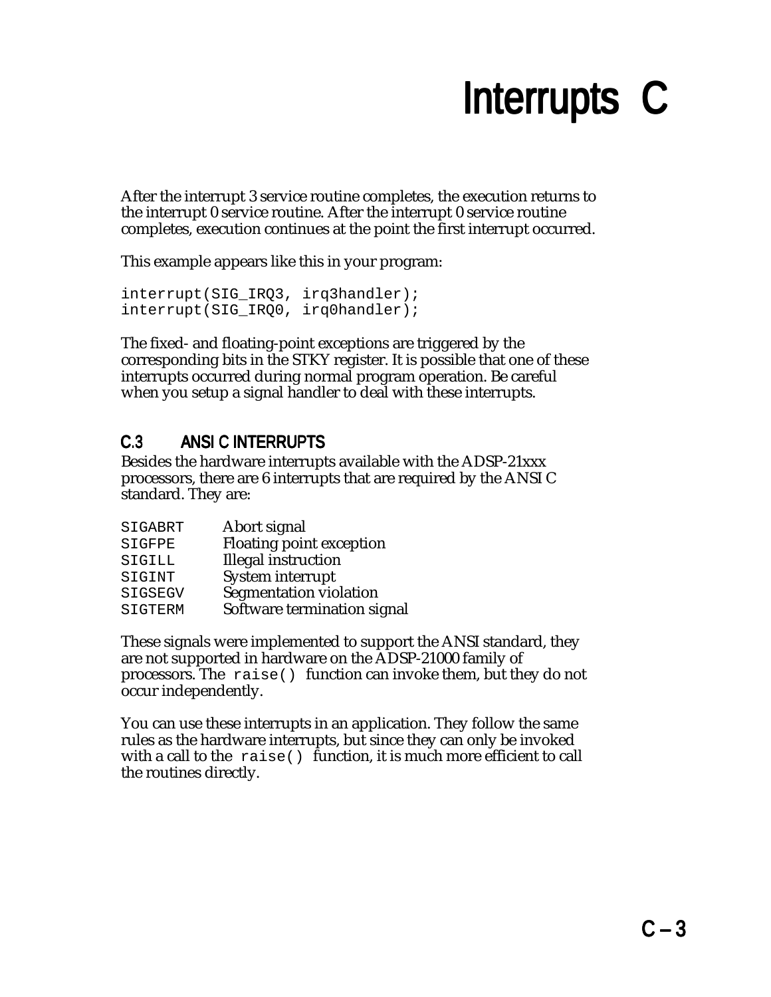After the interrupt 3 service routine completes, the execution returns to the interrupt 0 service routine. After the interrupt 0 service routine completes, execution continues at the point the first interrupt occurred.

This example appears like this in your program:

```
interrupt(SIG_IRQ3, irq3handler);
interrupt(SIG_IRQ0, irq0handler);
```
The fixed- and floating-point exceptions are triggered by the corresponding bits in the STKY register. It is possible that one of these interrupts occurred during normal program operation. Be careful when you setup a signal handler to deal with these interrupts.

#### C.3 ANSI C INTERRUPTS

Besides the hardware interrupts available with the ADSP-21xxx processors, there are 6 interrupts that are required by the ANSI C standard. They are:

| SIGABRT        | Abort signal                |
|----------------|-----------------------------|
| SIGFPE         | Floating point exception    |
| SIGILL         | <b>Illegal</b> instruction  |
| SIGINT         | System interrupt            |
| SIGSEGV        | Segmentation violation      |
| <b>SIGTERM</b> | Software termination signal |

These signals were implemented to support the ANSI standard, they are not supported in hardware on the ADSP-21000 family of processors. The raise() function can invoke them, but they do not occur independently.

You can use these interrupts in an application. They follow the same rules as the hardware interrupts, but since they can only be invoked with a call to the raise() function, it is much more efficient to call the routines directly.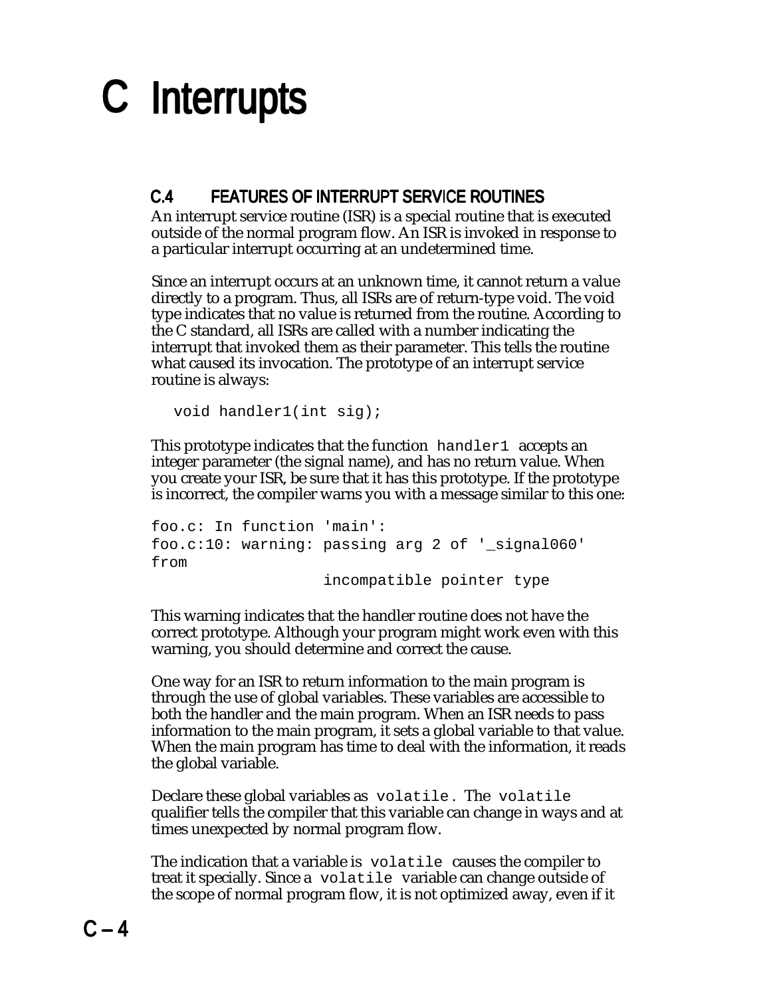#### C.4 FEATURES OF INTERRUPT SERVICE ROUTINES

An interrupt service routine (ISR) is a special routine that is executed outside of the normal program flow. An ISR is invoked in response to a particular interrupt occurring at an undetermined time.

Since an interrupt occurs at an unknown time, it cannot return a value directly to a program. Thus, all ISRs are of return-type void. The void type indicates that no value is returned from the routine. According to the C standard, all ISRs are called with a number indicating the interrupt that invoked them as their parameter. This tells the routine what caused its invocation. The prototype of an interrupt service routine is always:

```
void handler1(int sig);
```
This prototype indicates that the function handler1 accepts an integer parameter (the signal name), and has no return value. When you create your ISR, be sure that it has this prototype. If the prototype is incorrect, the compiler warns you with a message similar to this one:

```
foo.c: In function 'main':
foo.c:10: warning: passing arg 2 of '_signal060'
from
                    incompatible pointer type
```
This warning indicates that the handler routine does not have the correct prototype. Although your program might work even with this warning, you should determine and correct the cause.

One way for an ISR to return information to the main program is through the use of global variables. These variables are accessible to both the handler and the main program. When an ISR needs to pass information to the main program, it sets a global variable to that value. When the main program has time to deal with the information, it reads the global variable.

Declare these global variables as volatile . The volatile qualifier tells the compiler that this variable can change in ways and at times unexpected by normal program flow.

The indication that a variable is volatile causes the compiler to treat it specially. Since a volatile variable can change outside of the scope of normal program flow, it is not optimized away, even if it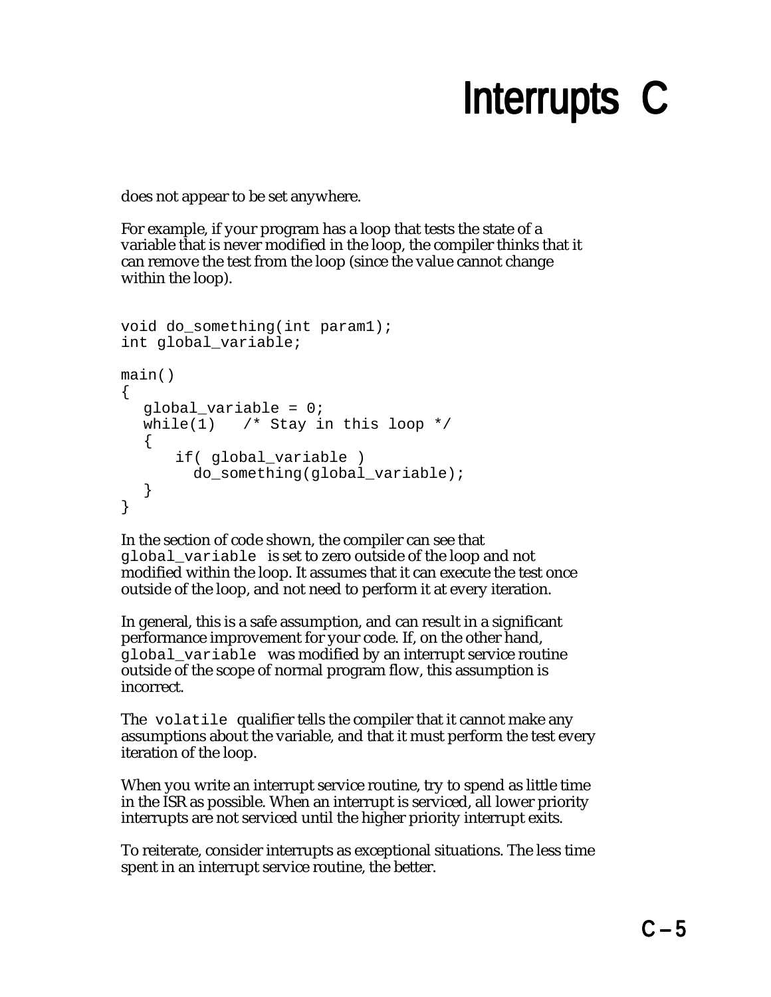does not appear to be set anywhere.

For example, if your program has a loop that tests the state of a variable that is never modified in the loop, the compiler thinks that it can remove the test from the loop (since the value cannot change within the loop).

```
void do_something(int param1);
int global_variable;
main()
{
  global_variable = 0;
  while(1) /* Stay in this loop */\left\{ \right. if( global_variable )
        do something(global variable);
  }
}
```
In the section of code shown, the compiler can see that global\_variable is set to zero outside of the loop and not modified within the loop. It assumes that it can execute the test once outside of the loop, and not need to perform it at every iteration.

In general, this is a safe assumption, and can result in a significant performance improvement for your code. If, on the other hand, global\_variable was modified by an interrupt service routine outside of the scope of normal program flow, this assumption is incorrect.

The volatile qualifier tells the compiler that it cannot make any assumptions about the variable, and that it must perform the test every iteration of the loop.

When you write an interrupt service routine, try to spend as little time in the ISR as possible. When an interrupt is serviced, all lower priority interrupts are not serviced until the higher priority interrupt exits.

To reiterate, consider interrupts as exceptional situations. The less time spent in an interrupt service routine, the better.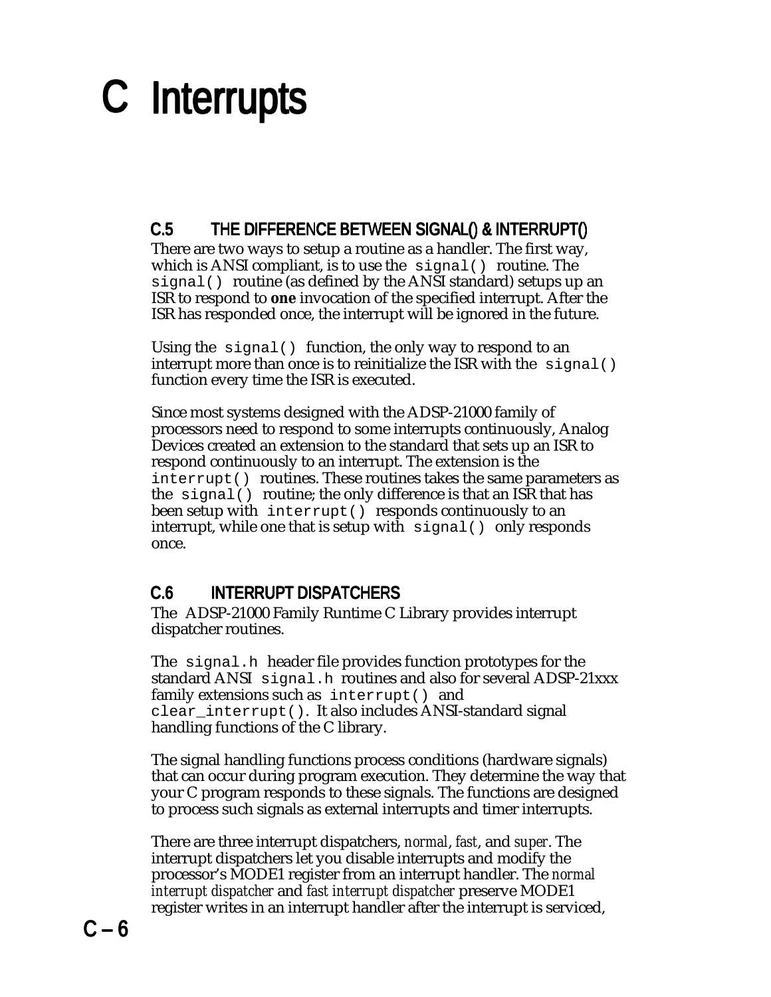### C.5 THE DIFFERENCE BETWEEN SIGNAL() & INTERRUPT()

There are two ways to setup a routine as a handler. The first way, which is ANSI compliant, is to use the signal() routine. The signal() routine (as defined by the ANSI standard) setups up an ISR to respond to **one** invocation of the specified interrupt. After the ISR has responded once, the interrupt will be ignored in the future.

Using the signal() function, the only way to respond to an interrupt more than once is to reinitialize the ISR with the  $\sinh(1)$ function every time the ISR is executed.

Since most systems designed with the ADSP-21000 family of processors need to respond to some interrupts continuously, Analog Devices created an extension to the standard that sets up an ISR to respond continuously to an interrupt. The extension is the interrupt() routines. These routines takes the same parameters as the signal() routine; the only difference is that an ISR that has been setup with interrupt() responds continuously to an interrupt, while one that is setup with  $signal()$  only responds once.

#### C.6 INTERRUPT DISPATCHERS

The ADSP-21000 Family Runtime C Library provides interrupt dispatcher routines.

The signal.h header file provides function prototypes for the standard ANSI signal.h routines and also for several ADSP-21xxx family extensions such as interrupt() and clear\_interrupt(). It also includes ANSI-standard signal handling functions of the C library.

The signal handling functions process conditions (hardware signals) that can occur during program execution. They determine the way that your C program responds to these signals. The functions are designed to process such signals as external interrupts and timer interrupts.

There are three interrupt dispatchers, *normal*, *fast*, and *super*. The interrupt dispatchers let you disable interrupts and modify the processor's MODE1 register from an interrupt handler. The *normal interrupt dispatcher* and *fast interrupt dispatcher* preserve MODE1 register writes in an interrupt handler after the interrupt is serviced,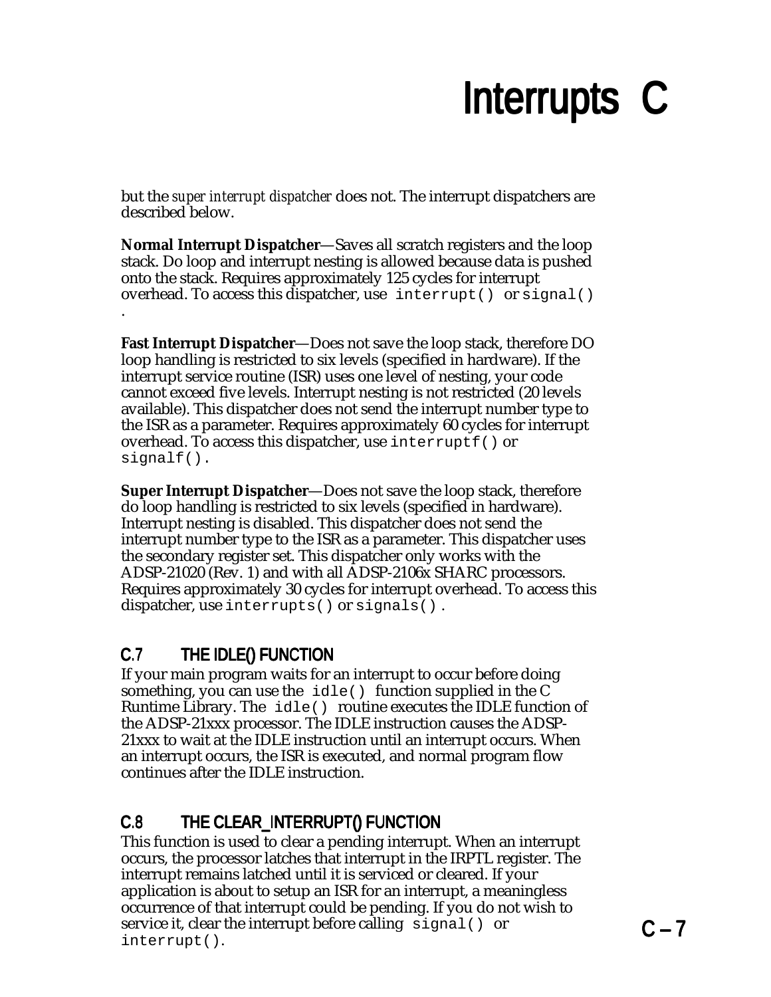but the *super interrupt dispatcher* does not. The interrupt dispatchers are described below.

**Normal Interrupt Dispatcher**—Saves all scratch registers and the loop stack. Do loop and interrupt nesting is allowed because data is pushed onto the stack. Requires approximately 125 cycles for interrupt overhead. To access this dispatcher, use  $interrupt()$  or  $signal()$ .

**Fast Interrupt Dispatcher**—Does not save the loop stack, therefore DO loop handling is restricted to six levels (specified in hardware). If the interrupt service routine (ISR) uses one level of nesting, your code cannot exceed five levels. Interrupt nesting is not restricted (20 levels available). This dispatcher does not send the interrupt number type to the ISR as a parameter. Requires approximately 60 cycles for interrupt overhead. To access this dispatcher, use interruptf() or signalf().

**Super Interrupt Dispatcher**—Does not save the loop stack, therefore do loop handling is restricted to six levels (specified in hardware). Interrupt nesting is disabled. This dispatcher does not send the interrupt number type to the ISR as a parameter. This dispatcher uses the secondary register set. This dispatcher only works with the ADSP-21020 (Rev. 1) and with all ADSP-2106x SHARC processors. Requires approximately 30 cycles for interrupt overhead. To access this dispatcher, use interrupts() or signals().

#### C.7 THE IDLE() FUNCTION

If your main program waits for an interrupt to occur before doing something, you can use the  $idle()$  function supplied in the C Runtime Library. The  $idle()$  routine executes the IDLE function of the ADSP-21xxx processor. The IDLE instruction causes the ADSP-21xxx to wait at the IDLE instruction until an interrupt occurs. When an interrupt occurs, the ISR is executed, and normal program flow continues after the IDLE instruction.

#### C.8 THE CLEAR\_INTERRUPT() FUNCTION

This function is used to clear a pending interrupt. When an interrupt occurs, the processor latches that interrupt in the IRPTL register. The interrupt remains latched until it is serviced or cleared. If your application is about to setup an ISR for an interrupt, a meaningless occurrence of that interrupt could be pending. If you do not wish to service it, clear the interrupt before calling signal() or interrupt().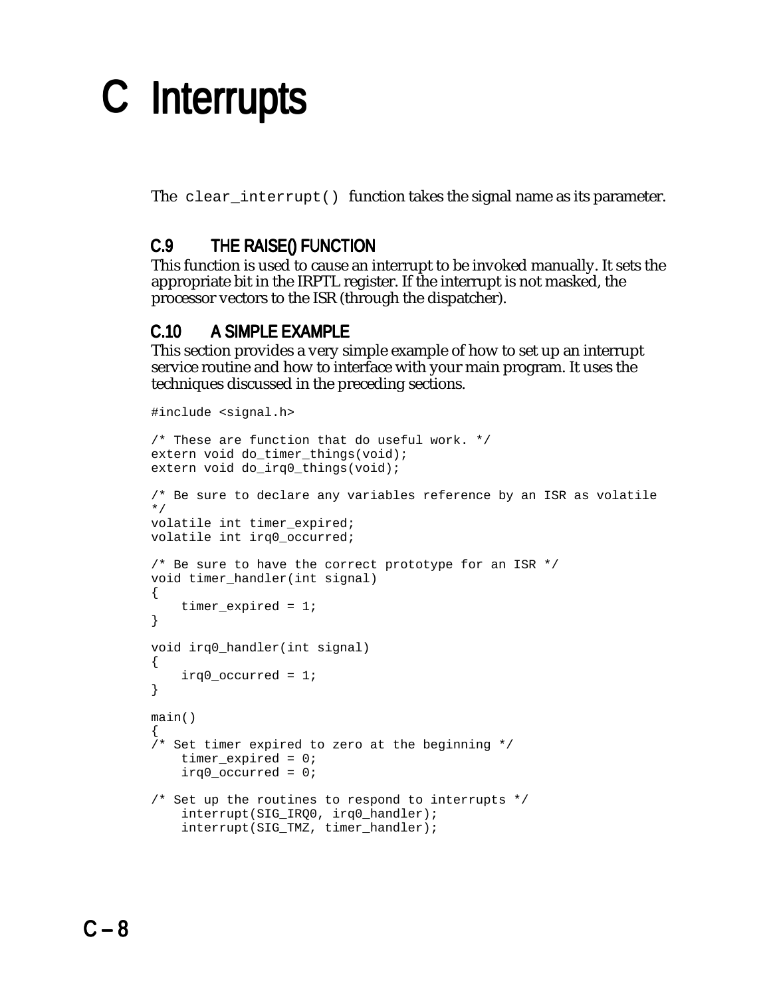The clear interrupt() function takes the signal name as its parameter.

### C.9 THE RAISE() FUNCTION

This function is used to cause an interrupt to be invoked manually. It sets the appropriate bit in the IRPTL register. If the interrupt is not masked, the processor vectors to the ISR (through the dispatcher).

#### C.10 A SIMPLE EXAMPLE

This section provides a very simple example of how to set up an interrupt service routine and how to interface with your main program. It uses the techniques discussed in the preceding sections.

```
#include <signal.h>
/* These are function that do useful work. */
extern void do_timer_things(void);
extern void do_irq0_things(void);
/* Be sure to declare any variables reference by an ISR as volatile
*/
volatile int timer_expired;
volatile int irq0_occurred;
/* Be sure to have the correct prototype for an ISR */
void timer handler(int signal)
{
    timer expired = 1;
}
void irq0_handler(int signal)
\{irq0_occurred = 1;
}
main()
{
/* Set timer expired to zero at the beginning */
    timer expired = 0;irq0_occurred = 0;
/* Set up the routines to respond to interrupts */
    interrupt(SIG_IRQ0, irq0_handler);
    interrupt(SIG_TMZ, timer_handler);
```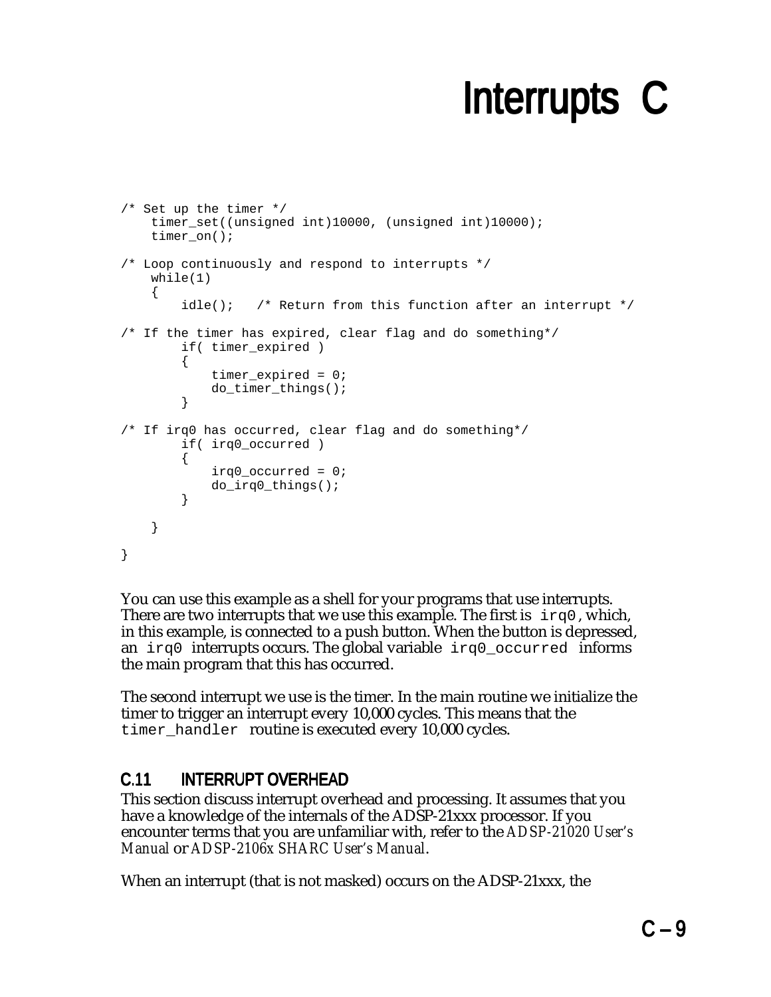```
/* Set up the timer */
    timer_set((unsigned int)10000, (unsigned int)10000);
   timer on();
/* Loop continuously and respond to interrupts */
   while(1)\{idle(); /* Return from this function after an interrupt *//* If the timer has expired, clear flag and do something*/
        if( timer_expired )
        {
            timer expired = 0;do_timer_things();
        }
/* If irq0 has occurred, clear flag and do something*/
        if( irq0_occurred )
        {
            irq0_occurred = 0;
           do_irq0_things();
        }
    }
}
```
You can use this example as a shell for your programs that use interrupts. There are two interrupts that we use this example. The first is  $i \nmid q0$ , which, in this example, is connected to a push button. When the button is depressed, an  $irq0$  interrupts occurs. The global variable  $irq0$  occurred informs the main program that this has occurred.

The second interrupt we use is the timer. In the main routine we initialize the timer to trigger an interrupt every 10,000 cycles. This means that the timer handler routine is executed every 10,000 cycles.

### C.11 INTERRUPT OVERHEAD

This section discuss interrupt overhead and processing. It assumes that you have a knowledge of the internals of the ADSP-21xxx processor. If you encounter terms that you are unfamiliar with, refer to the *ADSP-21020 User's Manual* or *ADSP-2106x SHARC User's Manual*.

When an interrupt (that is not masked) occurs on the ADSP-21xxx, the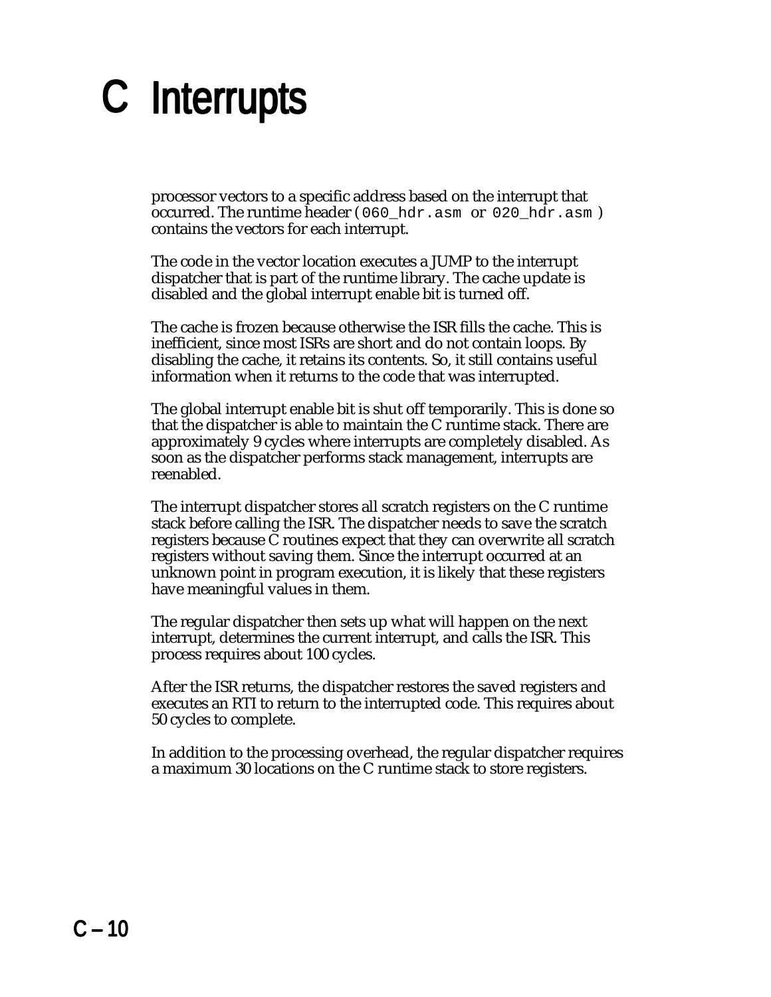processor vectors to a specific address based on the interrupt that occurred. The runtime header (060 hdr.asm or 020 hdr.asm) contains the vectors for each interrupt.

The code in the vector location executes a JUMP to the interrupt dispatcher that is part of the runtime library. The cache update is disabled and the global interrupt enable bit is turned off.

The cache is frozen because otherwise the ISR fills the cache. This is inefficient, since most ISRs are short and do not contain loops. By disabling the cache, it retains its contents. So, it still contains useful information when it returns to the code that was interrupted.

The global interrupt enable bit is shut off temporarily. This is done so that the dispatcher is able to maintain the C runtime stack. There are approximately 9 cycles where interrupts are completely disabled. As soon as the dispatcher performs stack management, interrupts are reenabled.

The interrupt dispatcher stores all scratch registers on the C runtime stack before calling the ISR. The dispatcher needs to save the scratch registers because C routines expect that they can overwrite all scratch registers without saving them. Since the interrupt occurred at an unknown point in program execution, it is likely that these registers have meaningful values in them.

The regular dispatcher then sets up what will happen on the next interrupt, determines the current interrupt, and calls the ISR. This process requires about 100 cycles.

After the ISR returns, the dispatcher restores the saved registers and executes an RTI to return to the interrupted code. This requires about 50 cycles to complete.

In addition to the processing overhead, the regular dispatcher requires a maximum 30 locations on the C runtime stack to store registers.